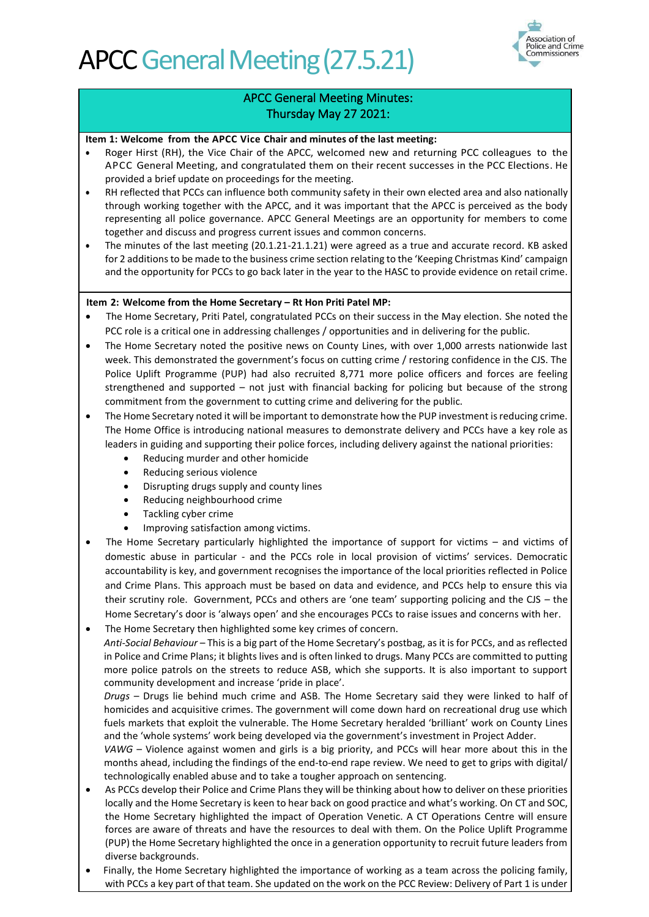

### APCC General Meeting Minutes: Thursday May 27 2021:

#### **Item 1: Welcome from the APCC Vice Chair and minutes of the last meeting:**

- Roger Hirst (RH), the Vice Chair of the APCC, welcomed new and returning PCC colleagues to the APCC General Meeting, and congratulated them on their recent successes in the PCC Elections. He provided a brief update on proceedings for the meeting.
- RH reflected that PCCs can influence both community safety in their own elected area and also nationally through working together with the APCC, and it was important that the APCC is perceived as the body representing all police governance. APCC General Meetings are an opportunity for members to come together and discuss and progress current issues and common concerns.
- The minutes of the last meeting (20.1.21-21.1.21) were agreed as a true and accurate record. KB asked for 2 additions to be made to the business crime section relating to the 'Keeping Christmas Kind' campaign and the opportunity for PCCs to go back later in the year to the HASC to provide evidence on retail crime.

#### **Item 2: Welcome from the Home Secretary – Rt Hon Priti Patel MP:**

- The Home Secretary, Priti Patel, congratulated PCCs on their success in the May election. She noted the PCC role is a critical one in addressing challenges / opportunities and in delivering for the public.
- The Home Secretary noted the positive news on County Lines, with over 1,000 arrests nationwide last week. This demonstrated the government's focus on cutting crime / restoring confidence in the CJS. The Police Uplift Programme (PUP) had also recruited 8,771 more police officers and forces are feeling strengthened and supported – not just with financial backing for policing but because of the strong commitment from the government to cutting crime and delivering for the public.
- The Home Secretary noted it will be important to demonstrate how the PUP investment is reducing crime. The Home Office is introducing national measures to demonstrate delivery and PCCs have a key role as leaders in guiding and supporting their police forces, including delivery against the national priorities:
	- Reducing murder and other homicide
	- Reducing serious violence
	- Disrupting drugs supply and county lines
	- Reducing neighbourhood crime
	- Tackling cyber crime
	- Improving satisfaction among victims.
- The Home Secretary particularly highlighted the importance of support for victims and victims of domestic abuse in particular - and the PCCs role in local provision of victims' services. Democratic accountability is key, and government recognises the importance of the local priorities reflected in Police and Crime Plans. This approach must be based on data and evidence, and PCCs help to ensure this via their scrutiny role. Government, PCCs and others are 'one team' supporting policing and the CJS – the Home Secretary's door is 'always open' and she encourages PCCs to raise issues and concerns with her.
- The Home Secretary then highlighted some key crimes of concern.

*Anti-Social Behaviour* – This is a big part of the Home Secretary's postbag, as it is for PCCs, and as reflected in Police and Crime Plans; it blights lives and is often linked to drugs. Many PCCs are committed to putting more police patrols on the streets to reduce ASB, which she supports. It is also important to support community development and increase 'pride in place'.

*Drugs* – Drugs lie behind much crime and ASB. The Home Secretary said they were linked to half of homicides and acquisitive crimes. The government will come down hard on recreational drug use which fuels markets that exploit the vulnerable. The Home Secretary heralded 'brilliant' work on County Lines and the 'whole systems' work being developed via the government's investment in Project Adder.

*VAWG* – Violence against women and girls is a big priority, and PCCs will hear more about this in the months ahead, including the findings of the end-to-end rape review. We need to get to grips with digital/ technologically enabled abuse and to take a tougher approach on sentencing.

- As PCCs develop their Police and Crime Plans they will be thinking about how to deliver on these priorities locally and the Home Secretary is keen to hear back on good practice and what's working. On CT and SOC, the Home Secretary highlighted the impact of Operation Venetic. A CT Operations Centre will ensure forces are aware of threats and have the resources to deal with them. On the Police Uplift Programme (PUP) the Home Secretary highlighted the once in a generation opportunity to recruit future leaders from diverse backgrounds.
- Finally, the Home Secretary highlighted the importance of working as a team across the policing family, with PCCs a key part of that team. She updated on the work on the PCC Review: Delivery of Part 1 is under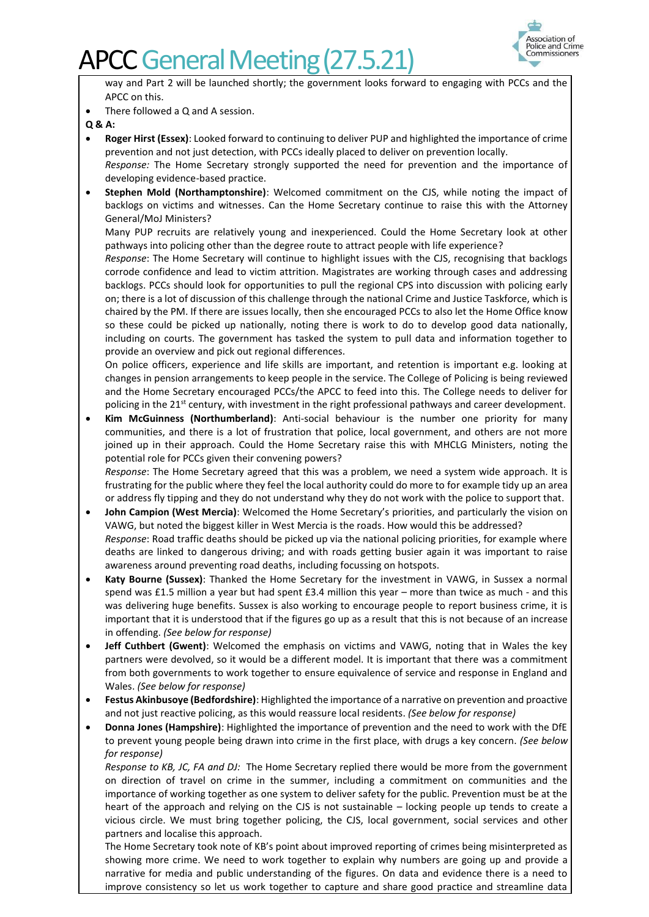

way and Part 2 will be launched shortly; the government looks forward to engaging with PCCs and the APCC on this.

There followed a Q and A session.

**Q & A:**

- **Roger Hirst (Essex)**: Looked forward to continuing to deliver PUP and highlighted the importance of crime prevention and not just detection, with PCCs ideally placed to deliver on prevention locally.
	- *Response:* The Home Secretary strongly supported the need for prevention and the importance of developing evidence-based practice.
- **Stephen Mold (Northamptonshire)**: Welcomed commitment on the CJS, while noting the impact of backlogs on victims and witnesses. Can the Home Secretary continue to raise this with the Attorney General/MoJ Ministers?

Many PUP recruits are relatively young and inexperienced. Could the Home Secretary look at other pathways into policing other than the degree route to attract people with life experience?

*Response*: The Home Secretary will continue to highlight issues with the CJS, recognising that backlogs corrode confidence and lead to victim attrition. Magistrates are working through cases and addressing backlogs. PCCs should look for opportunities to pull the regional CPS into discussion with policing early on; there is a lot of discussion of this challenge through the national Crime and Justice Taskforce, which is chaired by the PM. If there are issues locally, then she encouraged PCCs to also let the Home Office know so these could be picked up nationally, noting there is work to do to develop good data nationally, including on courts. The government has tasked the system to pull data and information together to provide an overview and pick out regional differences.

On police officers, experience and life skills are important, and retention is important e.g. looking at changes in pension arrangements to keep people in the service. The College of Policing is being reviewed and the Home Secretary encouraged PCCs/the APCC to feed into this. The College needs to deliver for policing in the 21<sup>st</sup> century, with investment in the right professional pathways and career development.

• **Kim McGuinness (Northumberland)**: Anti-social behaviour is the number one priority for many communities, and there is a lot of frustration that police, local government, and others are not more joined up in their approach. Could the Home Secretary raise this with MHCLG Ministers, noting the potential role for PCCs given their convening powers?

*Response*: The Home Secretary agreed that this was a problem, we need a system wide approach. It is frustrating for the public where they feel the local authority could do more to for example tidy up an area or address fly tipping and they do not understand why they do not work with the police to support that.

- **John Campion (West Mercia)**: Welcomed the Home Secretary's priorities, and particularly the vision on VAWG, but noted the biggest killer in West Mercia is the roads. How would this be addressed? *Response*: Road traffic deaths should be picked up via the national policing priorities, for example where deaths are linked to dangerous driving; and with roads getting busier again it was important to raise awareness around preventing road deaths, including focussing on hotspots.
- **Katy Bourne (Sussex)**: Thanked the Home Secretary for the investment in VAWG, in Sussex a normal spend was £1.5 million a year but had spent £3.4 million this year – more than twice as much - and this was delivering huge benefits. Sussex is also working to encourage people to report business crime, it is important that it is understood that if the figures go up as a result that this is not because of an increase in offending. *(See below for response)*
- **Jeff Cuthbert (Gwent)**: Welcomed the emphasis on victims and VAWG, noting that in Wales the key partners were devolved, so it would be a different model. It is important that there was a commitment from both governments to work together to ensure equivalence of service and response in England and Wales. *(See below for response)*
- **Festus Akinbusoye (Bedfordshire)**: Highlighted the importance of a narrative on prevention and proactive and not just reactive policing, as this would reassure local residents. *(See below for response)*
- **Donna Jones (Hampshire)**: Highlighted the importance of prevention and the need to work with the DfE to prevent young people being drawn into crime in the first place, with drugs a key concern. *(See below for response)*

*Response to KB, JC, FA and DJ:* The Home Secretary replied there would be more from the government on direction of travel on crime in the summer, including a commitment on communities and the importance of working together as one system to deliver safety for the public. Prevention must be at the heart of the approach and relying on the CJS is not sustainable – locking people up tends to create a vicious circle. We must bring together policing, the CJS, local government, social services and other partners and localise this approach.

The Home Secretary took note of KB's point about improved reporting of crimes being misinterpreted as showing more crime. We need to work together to explain why numbers are going up and provide a narrative for media and public understanding of the figures. On data and evidence there is a need to improve consistency so let us work together to capture and share good practice and streamline data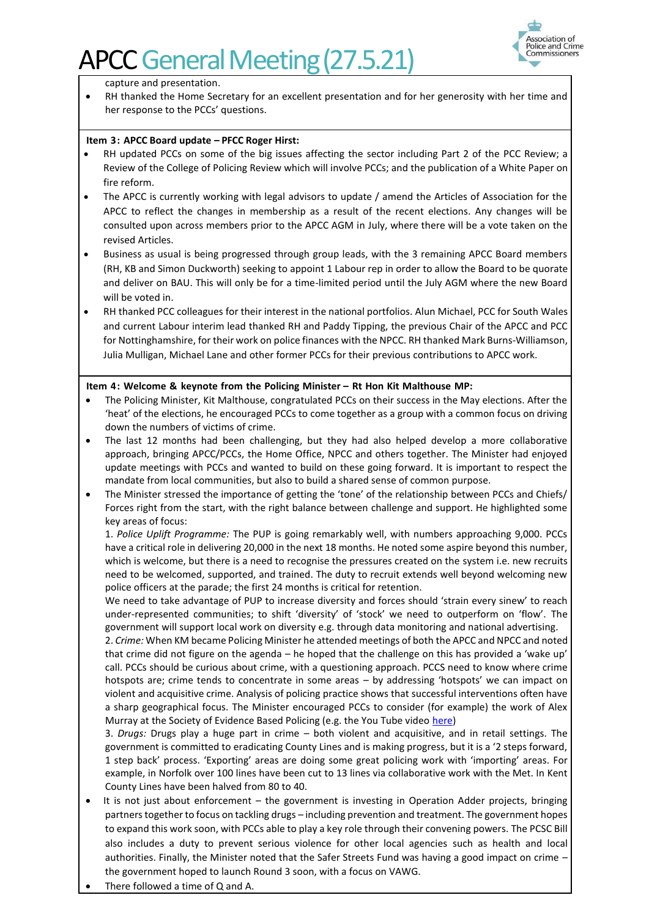

capture and presentation.

RH thanked the Home Secretary for an excellent presentation and for her generosity with her time and her response to the PCCs' questions.

#### **Item 3: APCC Board update – PFCC Roger Hirst:**

- RH updated PCCs on some of the big issues affecting the sector including Part 2 of the PCC Review; a Review of the College of Policing Review which will involve PCCs; and the publication of a White Paper on fire reform.
- The APCC is currently working with legal advisors to update / amend the Articles of Association for the APCC to reflect the changes in membership as a result of the recent elections. Any changes will be consulted upon across members prior to the APCC AGM in July, where there will be a vote taken on the revised Articles.
- Business as usual is being progressed through group leads, with the 3 remaining APCC Board members (RH, KB and Simon Duckworth) seeking to appoint 1 Labour rep in order to allow the Board to be quorate and deliver on BAU. This will only be for a time-limited period until the July AGM where the new Board will be voted in.
- RH thanked PCC colleagues for their interest in the national portfolios. Alun Michael, PCC for South Wales and current Labour interim lead thanked RH and Paddy Tipping, the previous Chair of the APCC and PCC for Nottinghamshire, for their work on police finances with the NPCC. RH thanked Mark Burns-Williamson, Julia Mulligan, Michael Lane and other former PCCs for their previous contributions to APCC work.

#### **Item 4: Welcome & keynote from the Policing Minister – Rt Hon Kit Malthouse MP:**

- The Policing Minister, Kit Malthouse, congratulated PCCs on their success in the May elections. After the 'heat' of the elections, he encouraged PCCs to come together as a group with a common focus on driving down the numbers of victims of crime.
- The last 12 months had been challenging, but they had also helped develop a more collaborative approach, bringing APCC/PCCs, the Home Office, NPCC and others together. The Minister had enjoyed update meetings with PCCs and wanted to build on these going forward. It is important to respect the mandate from local communities, but also to build a shared sense of common purpose.
- The Minister stressed the importance of getting the 'tone' of the relationship between PCCs and Chiefs/ Forces right from the start, with the right balance between challenge and support. He highlighted some key areas of focus:

1. *Police Uplift Programme:* The PUP is going remarkably well, with numbers approaching 9,000. PCCs have a critical role in delivering 20,000 in the next 18 months. He noted some aspire beyond this number, which is welcome, but there is a need to recognise the pressures created on the system i.e. new recruits need to be welcomed, supported, and trained. The duty to recruit extends well beyond welcoming new police officers at the parade; the first 24 months is critical for retention.

We need to take advantage of PUP to increase diversity and forces should 'strain every sinew' to reach under-represented communities; to shift 'diversity' of 'stock' we need to outperform on 'flow'. The government will support local work on diversity e.g. through data monitoring and national advertising.

2. *Crime:* When KM became Policing Minister he attended meetings of both the APCC and NPCC and noted that crime did not figure on the agenda – he hoped that the challenge on this has provided a 'wake up' call. PCCs should be curious about crime, with a questioning approach. PCCS need to know where crime hotspots are; crime tends to concentrate in some areas – by addressing 'hotspots' we can impact on violent and acquisitive crime. Analysis of policing practice shows that successful interventions often have a sharp geographical focus. The Minister encouraged PCCs to consider (for example) the work of Alex Murray at the Society of Evidence Based Policing (e.g. the You Tube video [here\)](https://www.youtube.com/watch?v=UW9-PpRiT3E)

3. *Drugs:* Drugs play a huge part in crime – both violent and acquisitive, and in retail settings. The government is committed to eradicating County Lines and is making progress, but it is a '2 steps forward, 1 step back' process. 'Exporting' areas are doing some great policing work with 'importing' areas. For example, in Norfolk over 100 lines have been cut to 13 lines via collaborative work with the Met. In Kent County Lines have been halved from 80 to 40.

- It is not just about enforcement the government is investing in Operation Adder projects, bringing partners together to focus on tackling drugs – including prevention and treatment. The government hopes to expand this work soon, with PCCs able to play a key role through their convening powers. The PCSC Bill also includes a duty to prevent serious violence for other local agencies such as health and local authorities. Finally, the Minister noted that the Safer Streets Fund was having a good impact on crime – the government hoped to launch Round 3 soon, with a focus on VAWG.
- There followed a time of Q and A.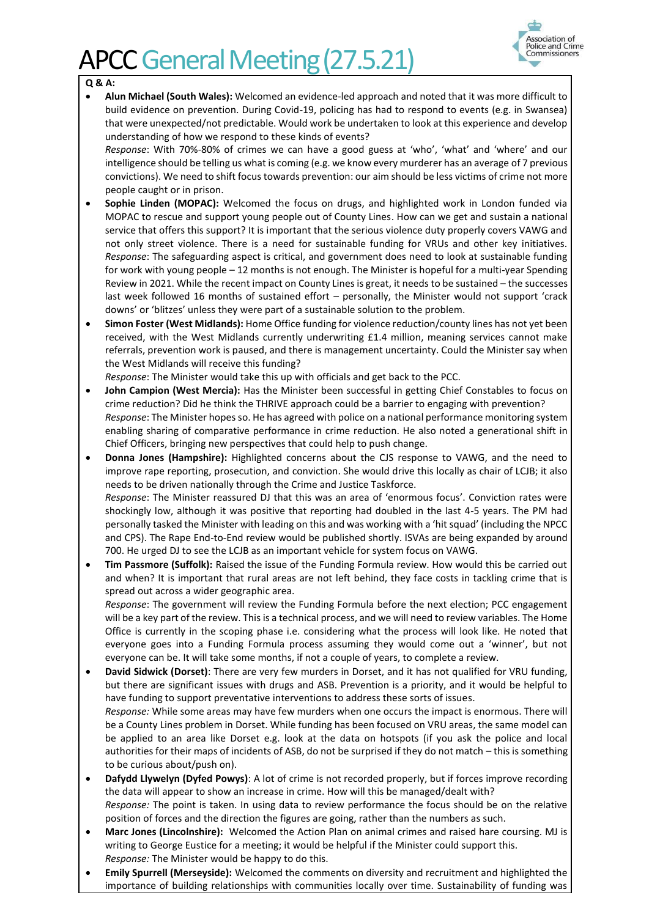

#### **Q & A:**

• **Alun Michael (South Wales):** Welcomed an evidence-led approach and noted that it was more difficult to build evidence on prevention. During Covid-19, policing has had to respond to events (e.g. in Swansea) that were unexpected/not predictable. Would work be undertaken to look at this experience and develop understanding of how we respond to these kinds of events?

*Response*: With 70%-80% of crimes we can have a good guess at 'who', 'what' and 'where' and our intelligence should be telling us what is coming (e.g. we know every murderer has an average of 7 previous convictions). We need to shift focus towards prevention: our aim should be less victims of crime not more people caught or in prison.

- **Sophie Linden (MOPAC):** Welcomed the focus on drugs, and highlighted work in London funded via MOPAC to rescue and support young people out of County Lines. How can we get and sustain a national service that offers this support? It is important that the serious violence duty properly covers VAWG and not only street violence. There is a need for sustainable funding for VRUs and other key initiatives. *Response*: The safeguarding aspect is critical, and government does need to look at sustainable funding for work with young people – 12 months is not enough. The Minister is hopeful for a multi-year Spending Review in 2021. While the recent impact on County Lines is great, it needs to be sustained – the successes last week followed 16 months of sustained effort – personally, the Minister would not support 'crack downs' or 'blitzes' unless they were part of a sustainable solution to the problem.
- **Simon Foster (West Midlands):** Home Office funding for violence reduction/county lines has not yet been received, with the West Midlands currently underwriting £1.4 million, meaning services cannot make referrals, prevention work is paused, and there is management uncertainty. Could the Minister say when the West Midlands will receive this funding?

*Response*: The Minister would take this up with officials and get back to the PCC.

- **John Campion (West Mercia):** Has the Minister been successful in getting Chief Constables to focus on crime reduction? Did he think the THRIVE approach could be a barrier to engaging with prevention? *Response*: The Minister hopes so. He has agreed with police on a national performance monitoring system enabling sharing of comparative performance in crime reduction. He also noted a generational shift in Chief Officers, bringing new perspectives that could help to push change.
- **Donna Jones (Hampshire):** Highlighted concerns about the CJS response to VAWG, and the need to improve rape reporting, prosecution, and conviction. She would drive this locally as chair of LCJB; it also needs to be driven nationally through the Crime and Justice Taskforce. *Response*: The Minister reassured DJ that this was an area of 'enormous focus'. Conviction rates were shockingly low, although it was positive that reporting had doubled in the last 4-5 years. The PM had personally tasked the Minister with leading on this and was working with a 'hit squad' (including the NPCC and CPS). The Rape End-to-End review would be published shortly. ISVAs are being expanded by around 700. He urged DJ to see the LCJB as an important vehicle for system focus on VAWG.
- **Tim Passmore (Suffolk):** Raised the issue of the Funding Formula review. How would this be carried out and when? It is important that rural areas are not left behind, they face costs in tackling crime that is spread out across a wider geographic area.

*Response*: The government will review the Funding Formula before the next election; PCC engagement will be a key part of the review. This is a technical process, and we will need to review variables. The Home Office is currently in the scoping phase i.e. considering what the process will look like. He noted that everyone goes into a Funding Formula process assuming they would come out a 'winner', but not everyone can be. It will take some months, if not a couple of years, to complete a review.

- **David Sidwick (Dorset)**: There are very few murders in Dorset, and it has not qualified for VRU funding, but there are significant issues with drugs and ASB. Prevention is a priority, and it would be helpful to have funding to support preventative interventions to address these sorts of issues. *Response:* While some areas may have few murders when one occurs the impact is enormous. There will be a County Lines problem in Dorset. While funding has been focused on VRU areas, the same model can be applied to an area like Dorset e.g. look at the data on hotspots (if you ask the police and local authorities for their maps of incidents of ASB, do not be surprised if they do not match – this is something to be curious about/push on).
- **Dafydd Llywelyn (Dyfed Powys)**: A lot of crime is not recorded properly, but if forces improve recording the data will appear to show an increase in crime. How will this be managed/dealt with? *Response:* The point is taken. In using data to review performance the focus should be on the relative position of forces and the direction the figures are going, rather than the numbers as such.
- **Marc Jones (Lincolnshire):** Welcomed the Action Plan on animal crimes and raised hare coursing. MJ is writing to George Eustice for a meeting; it would be helpful if the Minister could support this. *Response:* The Minister would be happy to do this.
- **Emily Spurrell (Merseyside):** Welcomed the comments on diversity and recruitment and highlighted the importance of building relationships with communities locally over time. Sustainability of funding was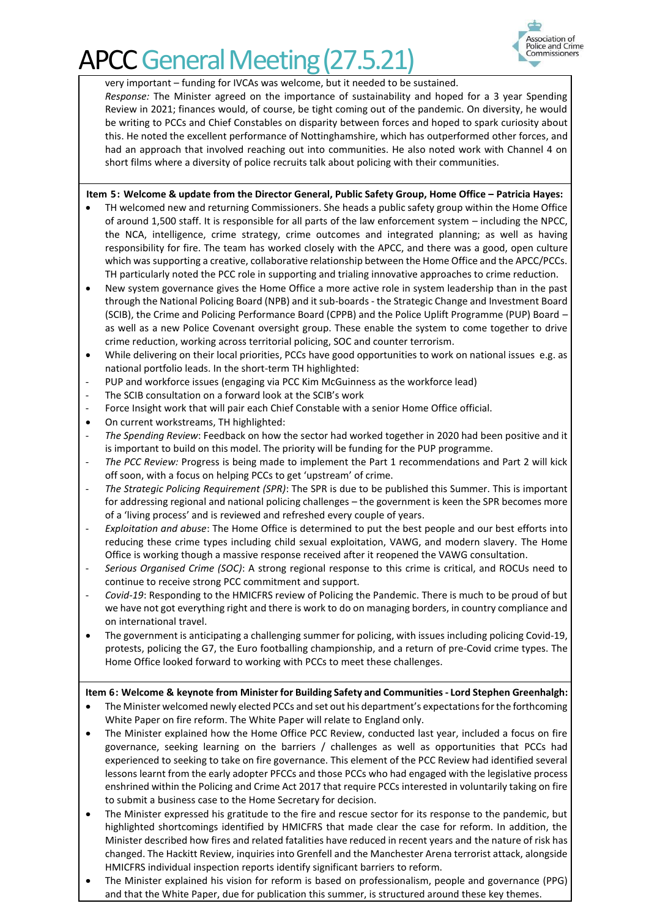

very important – funding for IVCAs was welcome, but it needed to be sustained.

*Response:* The Minister agreed on the importance of sustainability and hoped for a 3 year Spending Review in 2021; finances would, of course, be tight coming out of the pandemic. On diversity, he would be writing to PCCs and Chief Constables on disparity between forces and hoped to spark curiosity about this. He noted the excellent performance of Nottinghamshire, which has outperformed other forces, and had an approach that involved reaching out into communities. He also noted work with Channel 4 on short films where a diversity of police recruits talk about policing with their communities.

**Item 5: Welcome & update from the Director General, Public Safety Group, Home Office – Patricia Hayes:** 

- TH welcomed new and returning Commissioners. She heads a public safety group within the Home Office of around 1,500 staff. It is responsible for all parts of the law enforcement system – including the NPCC, the NCA, intelligence, crime strategy, crime outcomes and integrated planning; as well as having responsibility for fire. The team has worked closely with the APCC, and there was a good, open culture which was supporting a creative, collaborative relationship between the Home Office and the APCC/PCCs. TH particularly noted the PCC role in supporting and trialing innovative approaches to crime reduction.
- New system governance gives the Home Office a more active role in system leadership than in the past through the National Policing Board (NPB) and it sub-boards - the Strategic Change and Investment Board (SCIB), the Crime and Policing Performance Board (CPPB) and the Police Uplift Programme (PUP) Board – as well as a new Police Covenant oversight group. These enable the system to come together to drive crime reduction, working across territorial policing, SOC and counter terrorism.
- While delivering on their local priorities, PCCs have good opportunities to work on national issues e.g. as national portfolio leads. In the short-term TH highlighted:
- PUP and workforce issues (engaging via PCC Kim McGuinness as the workforce lead)
- The SCIB consultation on a forward look at the SCIB's work
- Force Insight work that will pair each Chief Constable with a senior Home Office official.
- On current workstreams, TH highlighted:
- *The Spending Review*: Feedback on how the sector had worked together in 2020 had been positive and it is important to build on this model. The priority will be funding for the PUP programme.
- *The PCC Review:* Progress is being made to implement the Part 1 recommendations and Part 2 will kick off soon, with a focus on helping PCCs to get 'upstream' of crime.
- *The Strategic Policing Requirement (SPR)*: The SPR is due to be published this Summer. This is important for addressing regional and national policing challenges – the government is keen the SPR becomes more of a 'living process' and is reviewed and refreshed every couple of years.
- *Exploitation and abuse*: The Home Office is determined to put the best people and our best efforts into reducing these crime types including child sexual exploitation, VAWG, and modern slavery. The Home Office is working though a massive response received after it reopened the VAWG consultation.
- *Serious Organised Crime (SOC)*: A strong regional response to this crime is critical, and ROCUs need to continue to receive strong PCC commitment and support.
- *Covid-19*: Responding to the HMICFRS review of Policing the Pandemic. There is much to be proud of but we have not got everything right and there is work to do on managing borders, in country compliance and on international travel.
- The government is anticipating a challenging summer for policing, with issues including policing Covid-19, protests, policing the G7, the Euro footballing championship, and a return of pre-Covid crime types. The Home Office looked forward to working with PCCs to meet these challenges.

#### **Item 6: Welcome & keynote from Minister for Building Safety and Communities - Lord Stephen Greenhalgh:**

- The Minister welcomed newly elected PCCs and set out his department's expectations for the forthcoming White Paper on fire reform. The White Paper will relate to England only.
- The Minister explained how the Home Office PCC Review, conducted last year, included a focus on fire governance, seeking learning on the barriers / challenges as well as opportunities that PCCs had experienced to seeking to take on fire governance. This element of the PCC Review had identified several lessons learnt from the early adopter PFCCs and those PCCs who had engaged with the legislative process enshrined within the Policing and Crime Act 2017 that require PCCs interested in voluntarily taking on fire to submit a business case to the Home Secretary for decision.
- The Minister expressed his gratitude to the fire and rescue sector for its response to the pandemic, but highlighted shortcomings identified by HMICFRS that made clear the case for reform. In addition, the Minister described how fires and related fatalities have reduced in recent years and the nature of risk has changed. The Hackitt Review, inquiries into Grenfell and the Manchester Arena terrorist attack, alongside HMICFRS individual inspection reports identify significant barriers to reform.
- The Minister explained his vision for reform is based on professionalism, people and governance (PPG) and that the White Paper, due for publication this summer, is structured around these key themes.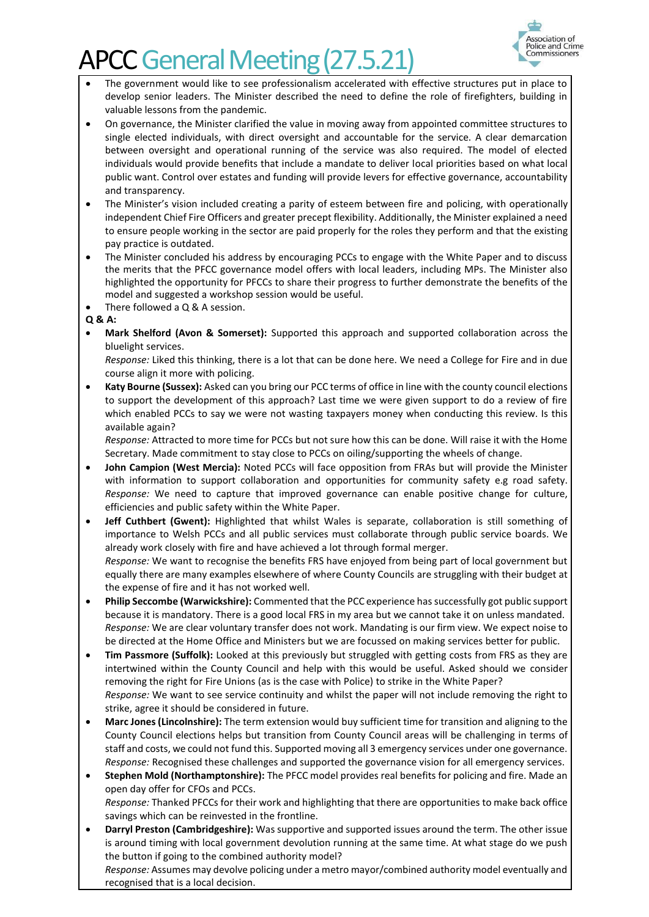

- The government would like to see professionalism accelerated with effective structures put in place to develop senior leaders. The Minister described the need to define the role of firefighters, building in valuable lessons from the pandemic.
- On governance, the Minister clarified the value in moving away from appointed committee structures to single elected individuals, with direct oversight and accountable for the service. A clear demarcation between oversight and operational running of the service was also required. The model of elected individuals would provide benefits that include a mandate to deliver local priorities based on what local public want. Control over estates and funding will provide levers for effective governance, accountability and transparency.
- The Minister's vision included creating a parity of esteem between fire and policing, with operationally independent Chief Fire Officers and greater precept flexibility. Additionally, the Minister explained a need to ensure people working in the sector are paid properly for the roles they perform and that the existing pay practice is outdated.
- The Minister concluded his address by encouraging PCCs to engage with the White Paper and to discuss the merits that the PFCC governance model offers with local leaders, including MPs. The Minister also highlighted the opportunity for PFCCs to share their progress to further demonstrate the benefits of the model and suggested a workshop session would be useful.
- There followed a  $Q$  & A session.

#### **Q & A:**

• **Mark Shelford (Avon & Somerset):** Supported this approach and supported collaboration across the bluelight services.

*Response:* Liked this thinking, there is a lot that can be done here. We need a College for Fire and in due course align it more with policing.

• **Katy Bourne (Sussex):** Asked can you bring our PCC terms of office in line with the county council elections to support the development of this approach? Last time we were given support to do a review of fire which enabled PCCs to say we were not wasting taxpayers money when conducting this review. Is this available again?

*Response:* Attracted to more time for PCCs but not sure how this can be done. Will raise it with the Home Secretary. Made commitment to stay close to PCCs on oiling/supporting the wheels of change.

- **John Campion (West Mercia):** Noted PCCs will face opposition from FRAs but will provide the Minister with information to support collaboration and opportunities for community safety e.g road safety. *Response:* We need to capture that improved governance can enable positive change for culture, efficiencies and public safety within the White Paper.
- **Jeff Cuthbert (Gwent):** Highlighted that whilst Wales is separate, collaboration is still something of importance to Welsh PCCs and all public services must collaborate through public service boards. We already work closely with fire and have achieved a lot through formal merger. *Response:* We want to recognise the benefits FRS have enjoyed from being part of local government but equally there are many examples elsewhere of where County Councils are struggling with their budget at the expense of fire and it has not worked well.
- **Philip Seccombe (Warwickshire):** Commented that the PCC experience hassuccessfully got public support because it is mandatory. There is a good local FRS in my area but we cannot take it on unless mandated. *Response:* We are clear voluntary transfer does not work. Mandating is our firm view. We expect noise to be directed at the Home Office and Ministers but we are focussed on making services better for public.
- **Tim Passmore (Suffolk):** Looked at this previously but struggled with getting costs from FRS as they are intertwined within the County Council and help with this would be useful. Asked should we consider removing the right for Fire Unions (as is the case with Police) to strike in the White Paper? *Response:* We want to see service continuity and whilst the paper will not include removing the right to strike, agree it should be considered in future.
- **Marc Jones (Lincolnshire):** The term extension would buy sufficient time for transition and aligning to the County Council elections helps but transition from County Council areas will be challenging in terms of staff and costs, we could not fund this. Supported moving all 3 emergency services under one governance. *Response:* Recognised these challenges and supported the governance vision for all emergency services.
- **Stephen Mold (Northamptonshire):** The PFCC model provides real benefits for policing and fire. Made an open day offer for CFOs and PCCs. *Response:* Thanked PFCCs for their work and highlighting that there are opportunities to make back office

savings which can be reinvested in the frontline.

• **Darryl Preston (Cambridgeshire):** Was supportive and supported issues around the term. The other issue is around timing with local government devolution running at the same time. At what stage do we push the button if going to the combined authority model?

*Response:* Assumes may devolve policing under a metro mayor/combined authority model eventually and recognised that is a local decision.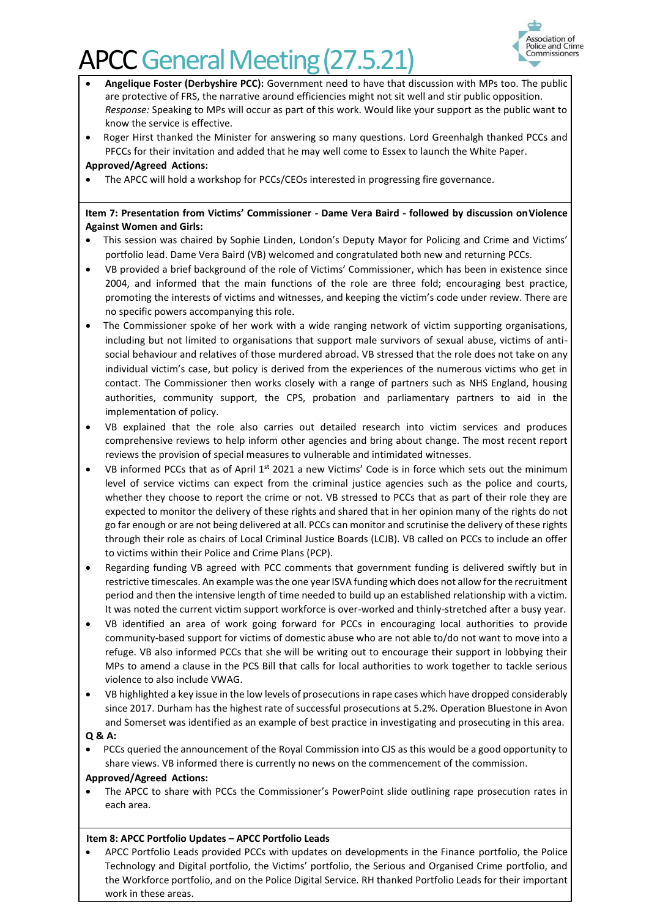

- **Angelique Foster (Derbyshire PCC):** Government need to have that discussion with MPs too. The public are protective of FRS, the narrative around efficiencies might not sit well and stir public opposition. *Response:* Speaking to MPs will occur as part of this work. Would like your support as the public want to know the service is effective.
- Roger Hirst thanked the Minister for answering so many questions. Lord Greenhalgh thanked PCCs and PFCCs for their invitation and added that he may well come to Essex to launch the White Paper.

**Approved/Agreed Actions:**

• The APCC will hold a workshop for PCCs/CEOs interested in progressing fire governance.

#### **Item 7: Presentation from Victims' Commissioner - Dame Vera Baird - followed by discussion on Violence Against Women and Girls:**

- This session was chaired by Sophie Linden, London's Deputy Mayor for Policing and Crime and Victims' portfolio lead. Dame Vera Baird (VB) welcomed and congratulated both new and returning PCCs.
- VB provided a brief background of the role of Victims' Commissioner, which has been in existence since 2004, and informed that the main functions of the role are three fold; encouraging best practice, promoting the interests of victims and witnesses, and keeping the victim's code under review. There are no specific powers accompanying this role.
- The Commissioner spoke of her work with a wide ranging network of victim supporting organisations, including but not limited to organisations that support male survivors of sexual abuse, victims of antisocial behaviour and relatives of those murdered abroad. VB stressed that the role does not take on any individual victim's case, but policy is derived from the experiences of the numerous victims who get in contact. The Commissioner then works closely with a range of partners such as NHS England, housing authorities, community support, the CPS, probation and parliamentary partners to aid in the implementation of policy.
- VB explained that the role also carries out detailed research into victim services and produces comprehensive reviews to help inform other agencies and bring about change. The most recent report reviews the provision of special measures to vulnerable and intimidated witnesses.
- VB informed PCCs that as of April 1<sup>st</sup> 2021 a new Victims' Code is in force which sets out the minimum level of service victims can expect from the criminal justice agencies such as the police and courts, whether they choose to report the crime or not. VB stressed to PCCs that as part of their role they are expected to monitor the delivery of these rights and shared that in her opinion many of the rights do not go far enough or are not being delivered at all. PCCs can monitor and scrutinise the delivery of these rights through their role as chairs of Local Criminal Justice Boards (LCJB). VB called on PCCs to include an offer to victims within their Police and Crime Plans (PCP).
- Regarding funding VB agreed with PCC comments that government funding is delivered swiftly but in restrictive timescales. An example wasthe one year ISVA funding which does not allow for the recruitment period and then the intensive length of time needed to build up an established relationship with a victim. It was noted the current victim support workforce is over-worked and thinly-stretched after a busy year.
- VB identified an area of work going forward for PCCs in encouraging local authorities to provide community-based support for victims of domestic abuse who are not able to/do not want to move into a refuge. VB also informed PCCs that she will be writing out to encourage their support in lobbying their MPs to amend a clause in the PCS Bill that calls for local authorities to work together to tackle serious violence to also include VWAG.
- VB highlighted a key issue in the low levels of prosecutions in rape cases which have dropped considerably since 2017. Durham has the highest rate of successful prosecutions at 5.2%. Operation Bluestone in Avon and Somerset was identified as an example of best practice in investigating and prosecuting in this area.

#### **Q & A:**

• PCCs queried the announcement of the Royal Commission into CJS as this would be a good opportunity to share views. VB informed there is currently no news on the commencement of the commission.

#### **Approved/Agreed Actions:**

• The APCC to share with PCCs the Commissioner's PowerPoint slide outlining rape prosecution rates in each area.

#### **Item 8: APCC Portfolio Updates – APCC Portfolio Leads**

• APCC Portfolio Leads provided PCCs with updates on developments in the Finance portfolio, the Police Technology and Digital portfolio, the Victims' portfolio, the Serious and Organised Crime portfolio, and the Workforce portfolio, and on the Police Digital Service. RH thanked Portfolio Leads for their important work in these areas.